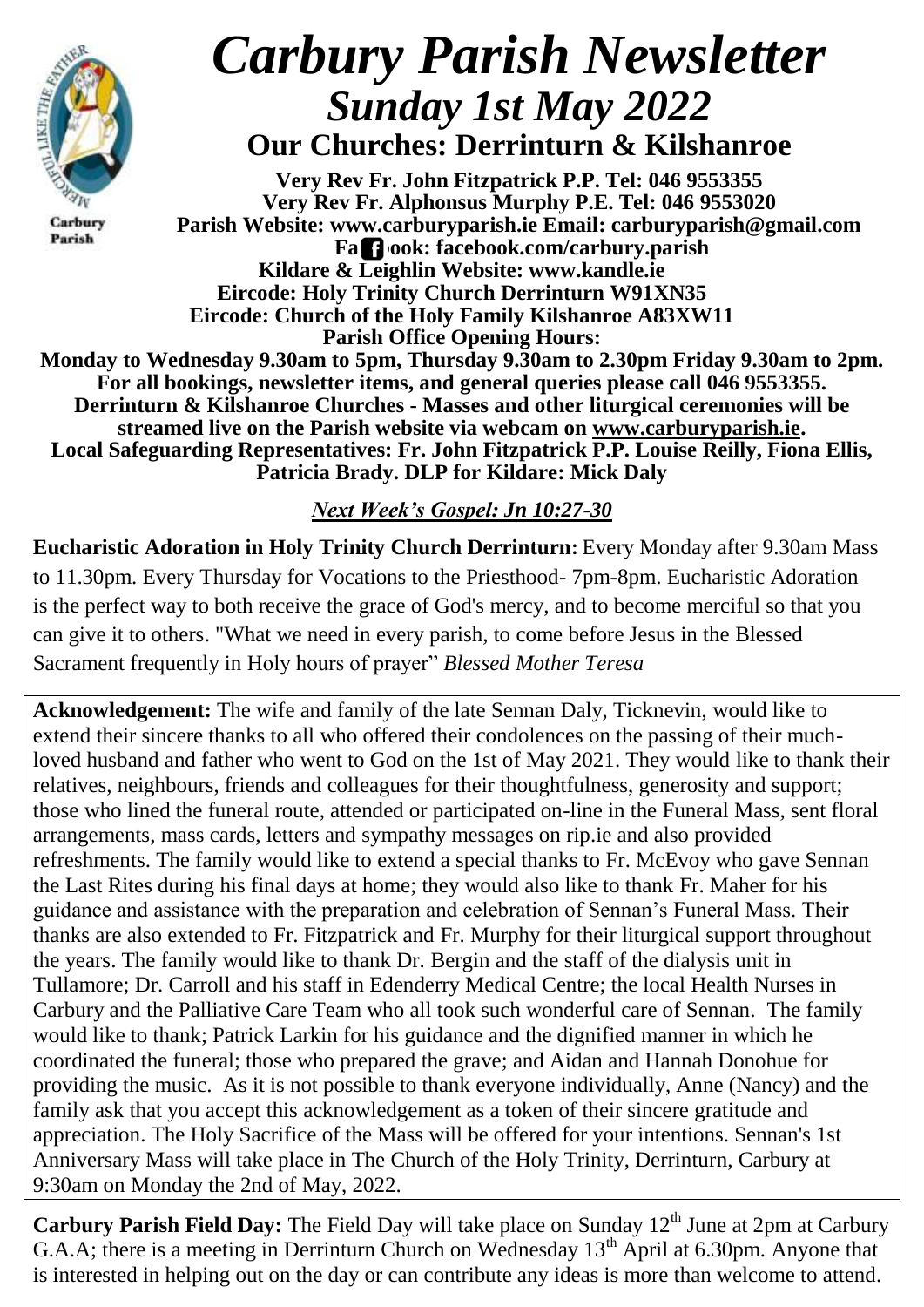

Carbury Parish

# *Carbury Parish Newsletter Sunday 1st May 2022* **Our Churches: Derrinturn & Kilshanroe**

**Very Rev Fr. John Fitzpatrick P.P. Tel: 046 9553355 Very Rev Fr. Alphonsus Murphy P.E. Tel: 046 9553020 Parish Website: www.carburyparish.ie Email: carburyparish@gmail.com Facebook: facebook.com/carbury.parish Kildare & Leighlin Website: www.kandle.ie Eircode: Holy Trinity Church Derrinturn W91XN35 Eircode: Church of the Holy Family Kilshanroe A83XW11 Parish Office Opening Hours: Monday to Wednesday 9.30am to 5pm, Thursday 9.30am to 2.30pm Friday 9.30am to 2pm. For all bookings, newsletter items, and general queries please call 046 9553355. Derrinturn & Kilshanroe Churches - Masses and other liturgical ceremonies will be streamed live on the Parish website via webcam on [www.carburyparish.ie.](http://www.carburyparish.ie/)**

**Local Safeguarding Representatives: Fr. John Fitzpatrick P.P. Louise Reilly, Fiona Ellis, Patricia Brady. DLP for Kildare: Mick Daly**

*Next Week's Gospel: Jn 10:27-30*

**Eucharistic Adoration in Holy Trinity Church Derrinturn:** Every Monday after 9.30am Mass to 11.30pm. Every Thursday for Vocations to the Priesthood- 7pm-8pm. Eucharistic Adoration is the perfect way to both receive the grace of God's mercy, and to become merciful so that you can give it to others. "What we need in every parish, to come before Jesus in the Blessed Sacrament frequently in Holy hours of prayer" *Blessed Mother Teresa*

**Acknowledgement:** The wife and family of the late Sennan Daly, Ticknevin, would like to extend their sincere thanks to all who offered their condolences on the passing of their muchloved husband and father who went to God on the 1st of May 2021. They would like to thank their relatives, neighbours, friends and colleagues for their thoughtfulness, generosity and support; those who lined the funeral route, attended or participated on-line in the Funeral Mass, sent floral arrangements, mass cards, letters and sympathy messages on [rip.ie](http://rip.ie/) and also provided refreshments. The family would like to extend a special thanks to Fr. McEvoy who gave Sennan the Last Rites during his final days at home; they would also like to thank Fr. Maher for his guidance and assistance with the preparation and celebration of Sennan's Funeral Mass. Their thanks are also extended to Fr. Fitzpatrick and Fr. Murphy for their liturgical support throughout the years. The family would like to thank Dr. Bergin and the staff of the dialysis unit in Tullamore; Dr. Carroll and his staff in Edenderry Medical Centre; the local Health Nurses in Carbury and the Palliative Care Team who all took such wonderful care of Sennan. The family would like to thank; Patrick Larkin for his guidance and the dignified manner in which he coordinated the funeral; those who prepared the grave; and Aidan and Hannah Donohue for providing the music. As it is not possible to thank everyone individually, Anne (Nancy) and the family ask that you accept this acknowledgement as a token of their sincere gratitude and appreciation. The Holy Sacrifice of the Mass will be offered for your intentions. Sennan's 1st Anniversary Mass will take place in The Church of the Holy Trinity, Derrinturn, Carbury at 9:30am on Monday the 2nd of May, 2022.

**Carbury Parish Field Day:** The Field Day will take place on Sunday 12<sup>th</sup> June at 2pm at Carbury G.A.A; there is a meeting in Derrinturn Church on Wednesday  $13<sup>th</sup>$  April at 6.30pm. Anyone that is interested in helping out on the day or can contribute any ideas is more than welcome to attend.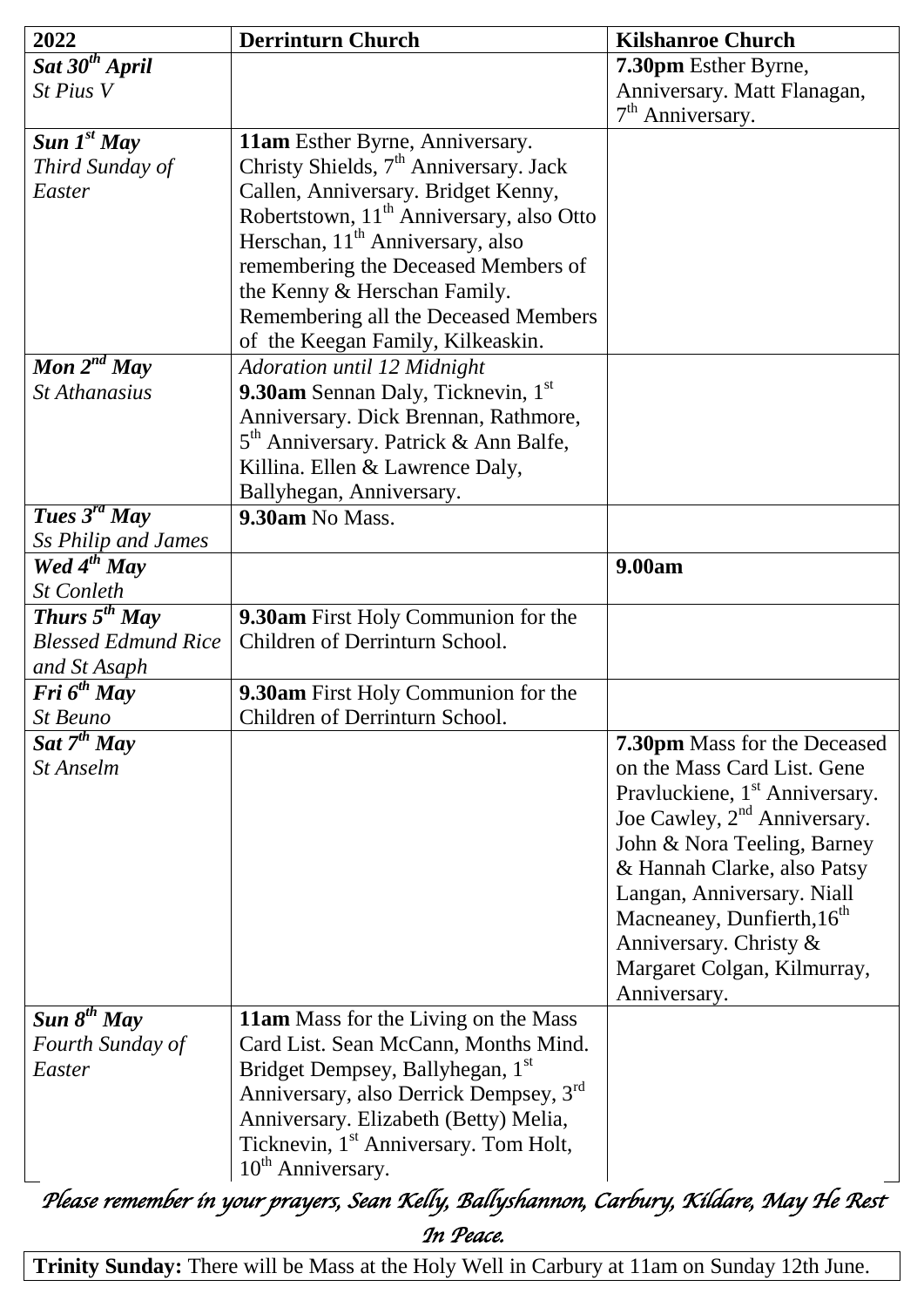| 2022                       | <b>Derrinturn Church</b>                                                                 | <b>Kilshanroe Church</b>                   |
|----------------------------|------------------------------------------------------------------------------------------|--------------------------------------------|
| Sat 30 <sup>th</sup> April |                                                                                          | 7.30pm Esther Byrne,                       |
| St Pius V                  |                                                                                          | Anniversary. Matt Flanagan,                |
|                            |                                                                                          | $7th$ Anniversary.                         |
| Sun $I^{st}$ May           | 11am Esther Byrne, Anniversary.                                                          |                                            |
| Third Sunday of            | Christy Shields, 7 <sup>th</sup> Anniversary. Jack                                       |                                            |
| Easter                     | Callen, Anniversary. Bridget Kenny,                                                      |                                            |
|                            | Robertstown, 11 <sup>th</sup> Anniversary, also Otto                                     |                                            |
|                            | Herschan, 11 <sup>th</sup> Anniversary, also                                             |                                            |
|                            | remembering the Deceased Members of                                                      |                                            |
|                            | the Kenny & Herschan Family.                                                             |                                            |
|                            | Remembering all the Deceased Members                                                     |                                            |
|                            | of the Keegan Family, Kilkeaskin.                                                        |                                            |
| Mon $2^{nd}$ May           | Adoration until 12 Midnight                                                              |                                            |
| <b>St Athanasius</b>       | 9.30am Sennan Daly, Ticknevin, 1st                                                       |                                            |
|                            | Anniversary. Dick Brennan, Rathmore,                                                     |                                            |
|                            | 5 <sup>th</sup> Anniversary. Patrick & Ann Balfe,                                        |                                            |
|                            | Killina. Ellen & Lawrence Daly,                                                          |                                            |
|                            | Ballyhegan, Anniversary.                                                                 |                                            |
| Tues $3^{rd}$ May          | 9.30am No Mass.                                                                          |                                            |
| Ss Philip and James        |                                                                                          |                                            |
| Wed $4^{th}$ May           |                                                                                          | 9.00am                                     |
| <b>St Conleth</b>          |                                                                                          |                                            |
| Thurs $5^{th}$ May         | 9.30am First Holy Communion for the                                                      |                                            |
| <b>Blessed Edmund Rice</b> | Children of Derrinturn School.                                                           |                                            |
| and St Asaph               |                                                                                          |                                            |
| $Fri\ 6^{th}$ May          | 9.30am First Holy Communion for the                                                      |                                            |
| <b>St Beuno</b>            | Children of Derrinturn School.                                                           |                                            |
| Sat $7^{th}$ May           |                                                                                          | <b>7.30pm</b> Mass for the Deceased        |
| <b>St Anselm</b>           |                                                                                          | on the Mass Card List. Gene                |
|                            |                                                                                          | Pravluckiene, 1 <sup>st</sup> Anniversary. |
|                            |                                                                                          | Joe Cawley, 2 <sup>nd</sup> Anniversary.   |
|                            |                                                                                          | John & Nora Teeling, Barney                |
|                            |                                                                                          | & Hannah Clarke, also Patsy                |
|                            |                                                                                          | Langan, Anniversary. Niall                 |
|                            |                                                                                          | Macneaney, Dunfierth, 16 <sup>th</sup>     |
|                            |                                                                                          | Anniversary. Christy &                     |
|                            |                                                                                          | Margaret Colgan, Kilmurray,                |
|                            |                                                                                          | Anniversary.                               |
| Sun $8^{th}$ May           | <b>11am</b> Mass for the Living on the Mass                                              |                                            |
| Fourth Sunday of           | Card List. Sean McCann, Months Mind.                                                     |                                            |
| Easter                     | Bridget Dempsey, Ballyhegan, 1 <sup>st</sup>                                             |                                            |
|                            | Anniversary, also Derrick Dempsey, 3rd                                                   |                                            |
|                            | Anniversary. Elizabeth (Betty) Melia,                                                    |                                            |
|                            | Ticknevin, 1 <sup>st</sup> Anniversary. Tom Holt,                                        |                                            |
|                            | $10th$ Anniversary.                                                                      |                                            |
|                            | Please remember in your prayers, Sean Kelly, Ballyshannon, Carbury, Kildare, May He Rest |                                            |

*In Peace.*  **Trinity Sunday:** There will be Mass at the Holy Well in Carbury at 11am on Sunday 12th June.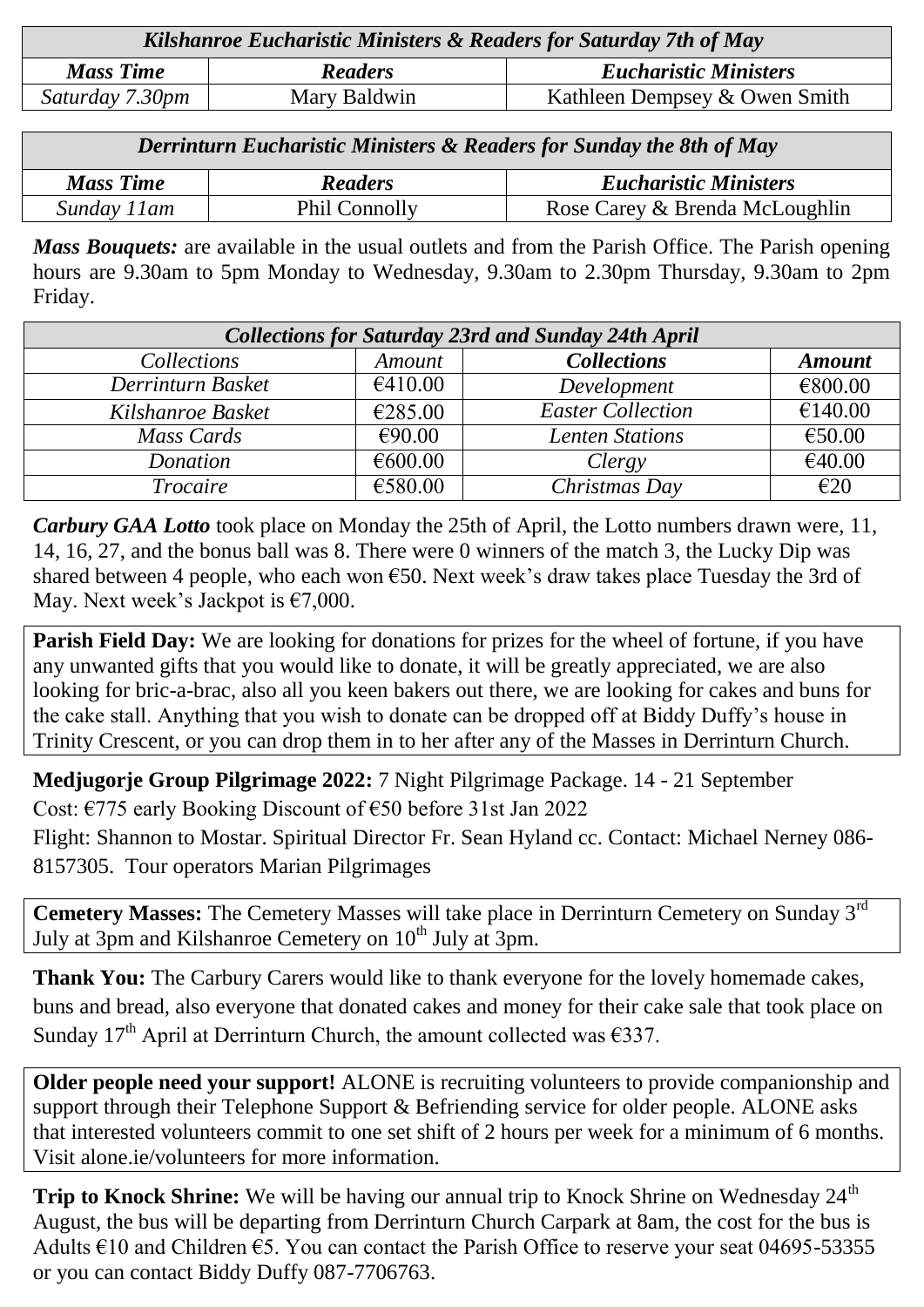| Kilshanroe Eucharistic Ministers & Readers for Saturday 7th of May |                |                               |  |
|--------------------------------------------------------------------|----------------|-------------------------------|--|
| <b>Mass Time</b>                                                   | <b>Readers</b> | <b>Eucharistic Ministers</b>  |  |
| Saturday 7.30pm                                                    | Mary Baldwin   | Kathleen Dempsey & Owen Smith |  |
|                                                                    |                |                               |  |

*Derrinturn Eucharistic Ministers & Readers for Sunday the 8th of May*

| <b>Mass Time</b> | <b>Readers</b> | <b>Eucharistic Ministers</b>   |
|------------------|----------------|--------------------------------|
| Sunday<br>1 am   | Phil Connolly  | Rose Carey & Brenda McLoughlin |
|                  |                |                                |

*Mass Bouquets:* are available in the usual outlets and from the Parish Office. The Parish opening hours are 9.30am to 5pm Monday to Wednesday, 9.30am to 2.30pm Thursday, 9.30am to 2pm Friday.

| <b>Collections for Saturday 23rd and Sunday 24th April</b> |         |                          |               |  |
|------------------------------------------------------------|---------|--------------------------|---------------|--|
| Collections                                                | Amount  | <b>Collections</b>       | <b>Amount</b> |  |
| Derrinturn Basket                                          | €410.00 | Development              | €800.00       |  |
| Kilshanroe Basket                                          | €285.00 | <b>Easter Collection</b> | €140.00       |  |
| Mass Cards                                                 | €90.00  | <b>Lenten Stations</b>   | €50.00        |  |
| Donation                                                   | €600.00 | Clergy                   | €40.00        |  |
| Trocaire                                                   | €580.00 | Christmas Day            | E20           |  |

*Carbury GAA Lotto* took place on Monday the 25th of April, the Lotto numbers drawn were, 11, 14, 16, 27, and the bonus ball was 8. There were 0 winners of the match 3, the Lucky Dip was shared between 4 people, who each won  $\epsilon$ 50. Next week's draw takes place Tuesday the 3rd of May. Next week's Jackpot is  $\epsilon$ 7,000.

**Parish Field Day:** We are looking for donations for prizes for the wheel of fortune, if you have any unwanted gifts that you would like to donate, it will be greatly appreciated, we are also looking for bric-a-brac, also all you keen bakers out there, we are looking for cakes and buns for the cake stall. Anything that you wish to donate can be dropped off at Biddy Duffy's house in Trinity Crescent, or you can drop them in to her after any of the Masses in Derrinturn Church.

**Medjugorje Group Pilgrimage 2022:** 7 Night Pilgrimage Package. 14 - 21 September Cost: €775 early Booking Discount of €50 before 31st Jan 2022

Flight: Shannon to Mostar. Spiritual Director Fr. Sean Hyland cc. Contact: Michael Nerney 086- 8157305. Tour operators Marian Pilgrimages

**Cemetery Masses:** The Cemetery Masses will take place in Derrinturn Cemetery on Sunday 3rd July at 3pm and Kilshanroe Cemetery on 10<sup>th</sup> July at 3pm.

**Thank You:** The Carbury Carers would like to thank everyone for the lovely homemade cakes, buns and bread, also everyone that donated cakes and money for their cake sale that took place on Sunday 17<sup>th</sup> April at Derrinturn Church, the amount collected was  $\epsilon$ 337.

**Older people need your support!** ALONE is recruiting volunteers to provide companionship and support through their Telephone Support & Befriending service for older people. ALONE asks that interested volunteers commit to one set shift of 2 hours per week for a minimum of 6 months. Visit [alone.ie/volunteers](http://alone.ie/volunteers) for more information.

**Trip to Knock Shrine:** We will be having our annual trip to Knock Shrine on Wednesday 24<sup>th</sup> August, the bus will be departing from Derrinturn Church Carpark at 8am, the cost for the bus is Adults €10 and Children €5. You can contact the Parish Office to reserve your seat 04695-53355 or you can contact Biddy Duffy 087-7706763.